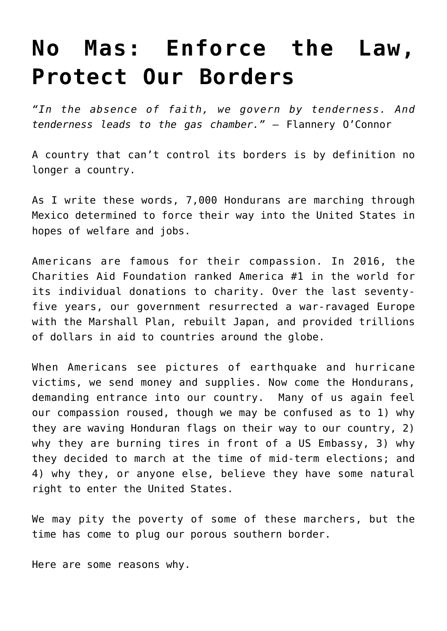## **[No Mas: Enforce the Law,](https://intellectualtakeout.org/2018/10/no-mas-enforce-the-law-protect-our-borders/) [Protect Our Borders](https://intellectualtakeout.org/2018/10/no-mas-enforce-the-law-protect-our-borders/)**

*"In the absence of faith, we govern by tenderness. And tenderness leads to the gas chamber." –* Flannery O'Connor

A country that can't control its borders is by definition no longer a country.

As I write these words, 7,000 Hondurans are marching through Mexico determined to force their way into the United States in hopes of welfare and jobs.

Americans are famous for their compassion. In 2016, the Charities Aid Foundation ranked America #1 in the world for its individual donations to charity. Over the last seventyfive years, our government resurrected a war-ravaged Europe with the Marshall Plan, rebuilt Japan, and provided trillions of dollars in aid to countries around the globe.

When Americans see pictures of earthquake and hurricane victims, we send money and supplies. Now come the Hondurans, demanding entrance into our country. Many of us again feel our compassion roused, though we may be confused as to 1) why they are waving Honduran flags on their way to our country, 2) why they are burning tires in front of a US Embassy, 3) why they decided to march at the time of mid-term elections; and 4) why they, or anyone else, believe they have some natural right to enter the United States.

We may pity the poverty of some of these marchers, but the time has come to plug our porous southern border.

Here are some reasons why.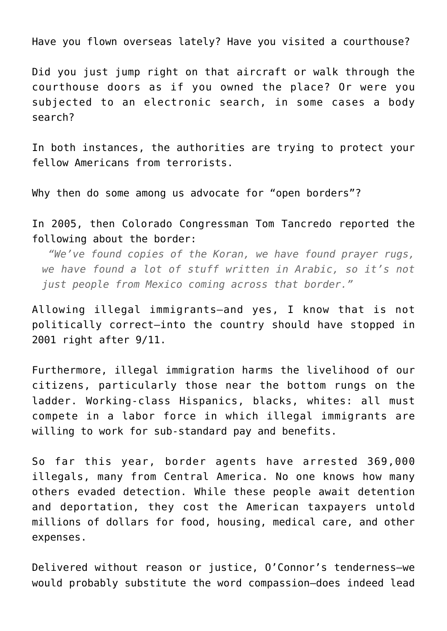Have you flown overseas lately? Have you visited a courthouse?

Did you just jump right on that aircraft or walk through the courthouse doors as if you owned the place? Or were you subjected to an electronic search, in some cases a body search?

In both instances, the authorities are trying to protect your fellow Americans from terrorists.

Why then do some among us advocate for "open borders"?

In 2005, then Colorado Congressman Tom Tancredo reported the following about the border:

 *"We've found copies of the Koran, we have found prayer rugs, we have found a lot of stuff written in Arabic, so it's not just people from Mexico coming across that border."*

Allowing illegal immigrants—and yes, I know that is not politically correct—into the country should have stopped in 2001 right after 9/11.

Furthermore, illegal immigration harms the livelihood of our citizens, particularly those near the bottom rungs on the ladder. Working-class Hispanics, blacks, whites: all must compete in a labor force in which illegal immigrants are willing to work for sub-standard pay and benefits.

So far this year, border agents have arrested 369,000 illegals, many from Central America. No one knows how many others evaded detection. While these people await detention and deportation, they cost the American taxpayers untold millions of dollars for food, housing, medical care, and other expenses.

Delivered without reason or justice, O'Connor's tenderness—we would probably substitute the word compassion—does indeed lead